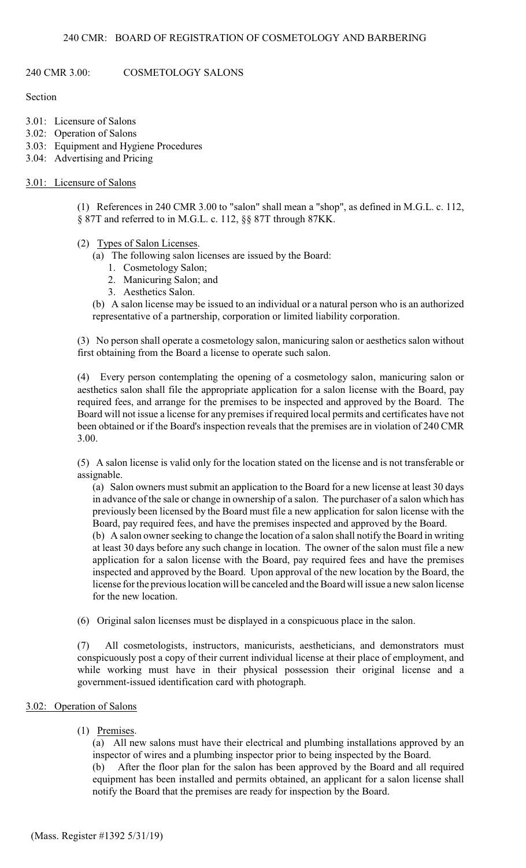# 240 CMR: BOARD OF REGISTRATION OF COSMETOLOGY AND BARBERING

240 CMR 3.00: COSMETOLOGY SALONS

Section

- 3.01: Licensure of Salons
- 3.02: Operation of Salons
- 3.03: Equipment and Hygiene Procedures
- 3.04: Advertising and Pricing

#### 3.01: Licensure of Salons

(1) References in 240 CMR 3.00 to "salon" shall mean a "shop", as defined in M.G.L. c. 112, § 87T and referred to in M.G.L. c. 112, §§ 87T through 87KK.

- (2) Types of Salon Licenses.
	- (a) The following salon licenses are issued by the Board:
		- 1. Cosmetology Salon;
		- 2. Manicuring Salon; and
		- 3. Aesthetics Salon.

(b) A salon license may be issued to an individual or a natural person who is an authorized representative of a partnership, corporation or limited liability corporation.

(3) No person shall operate a cosmetology salon, manicuring salon or aesthetics salon without first obtaining from the Board a license to operate such salon.

(4) Every person contemplating the opening of a cosmetology salon, manicuring salon or aesthetics salon shall file the appropriate application for a salon license with the Board, pay required fees, and arrange for the premises to be inspected and approved by the Board. The Board will not issue a license for any premises if required local permits and certificates have not been obtained or if the Board's inspection reveals that the premises are in violation of 240 CMR 3.00.

(5) A salon license is valid only for the location stated on the license and is not transferable or assignable.

(a) Salon owners must submit an application to the Board for a new license at least 30 days in advance of the sale or change in ownership of a salon. The purchaser of a salon which has previously been licensed by the Board must file a new application for salon license with the Board, pay required fees, and have the premises inspected and approved by the Board.

(b) A salon owner seeking to change the location of a salon shall notify the Board in writing at least 30 days before any such change in location. The owner of the salon must file a new application for a salon license with the Board, pay required fees and have the premises inspected and approved by the Board. Upon approval of the new location by the Board, the license for the previous location will be canceled and the Board will issue a new salon license for the new location.

(6) Original salon licenses must be displayed in a conspicuous place in the salon.

(7) All cosmetologists, instructors, manicurists, aestheticians, and demonstrators must conspicuously post a copy of their current individual license at their place of employment, and while working must have in their physical possession their original license and a government-issued identification card with photograph.

# 3.02: Operation of Salons

(1) Premises.

(a) All new salons must have their electrical and plumbing installations approved by an inspector of wires and a plumbing inspector prior to being inspected by the Board.

(b) After the floor plan for the salon has been approved by the Board and all required equipment has been installed and permits obtained, an applicant for a salon license shall notify the Board that the premises are ready for inspection by the Board.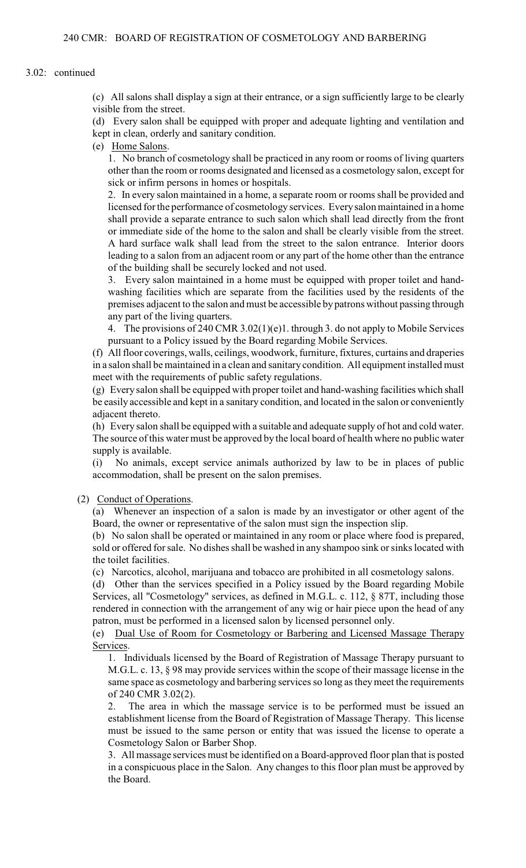#### 3.02: continued

(c) All salons shall display a sign at their entrance, or a sign sufficiently large to be clearly visible from the street.

(d) Every salon shall be equipped with proper and adequate lighting and ventilation and kept in clean, orderly and sanitary condition.

(e) Home Salons.

1. No branch of cosmetology shall be practiced in any room or rooms of living quarters other than the room or rooms designated and licensed as a cosmetology salon, except for sick or infirm persons in homes or hospitals.

2. In every salon maintained in a home, a separate room or rooms shall be provided and licensed for the performance of cosmetology services. Every salon maintained in a home shall provide a separate entrance to such salon which shall lead directly from the front or immediate side of the home to the salon and shall be clearly visible from the street. A hard surface walk shall lead from the street to the salon entrance. Interior doors leading to a salon from an adjacent room or any part of the home other than the entrance of the building shall be securely locked and not used.

3. Every salon maintained in a home must be equipped with proper toilet and handwashing facilities which are separate from the facilities used by the residents of the premises adjacent to the salon and must be accessible by patrons without passing through any part of the living quarters.

4. The provisions of 240 CMR 3.02(1)(e)1. through 3. do not apply to Mobile Services pursuant to a Policy issued by the Board regarding Mobile Services.

(f) All floor coverings, walls, ceilings, woodwork, furniture, fixtures, curtains and draperies in a salon shall be maintained in a clean and sanitary condition. All equipment installed must meet with the requirements of public safety regulations.

(g) Every salon shall be equipped with proper toilet and hand-washing facilities which shall be easily accessible and kept in a sanitary condition, and located in the salon or conveniently adjacent thereto.

(h) Every salon shall be equipped with a suitable and adequate supply of hot and cold water. The source of this water must be approved by the local board of health where no public water supply is available.

(i) No animals, except service animals authorized by law to be in places of public accommodation, shall be present on the salon premises.

(2) Conduct of Operations.

(a) Whenever an inspection of a salon is made by an investigator or other agent of the Board, the owner or representative of the salon must sign the inspection slip.

(b) No salon shall be operated or maintained in any room or place where food is prepared, sold or offered for sale. No dishes shall be washed in any shampoo sink or sinks located with the toilet facilities.

(c) Narcotics, alcohol, marijuana and tobacco are prohibited in all cosmetology salons.

(d) Other than the services specified in a Policy issued by the Board regarding Mobile Services, all "Cosmetology" services, as defined in M.G.L. c. 112, § 87T, including those rendered in connection with the arrangement of any wig or hair piece upon the head of any patron, must be performed in a licensed salon by licensed personnel only.

(e) Dual Use of Room for Cosmetology or Barbering and Licensed Massage Therapy Services.

1. Individuals licensed by the Board of Registration of Massage Therapy pursuant to M.G.L. c. 13, § 98 may provide services within the scope of their massage license in the same space as cosmetology and barbering services so long as they meet the requirements of 240 CMR 3.02(2).

2. The area in which the massage service is to be performed must be issued an establishment license from the Board of Registration of Massage Therapy. This license must be issued to the same person or entity that was issued the license to operate a Cosmetology Salon or Barber Shop.

3. All massage services must be identified on a Board-approved floor plan that is posted in a conspicuous place in the Salon. Any changes to this floor plan must be approved by the Board.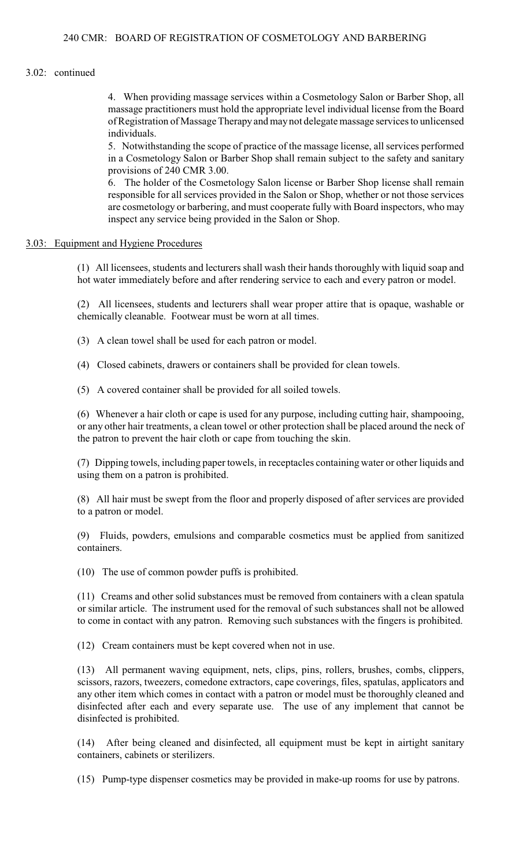#### 3.02: continued

4. When providing massage services within a Cosmetology Salon or Barber Shop, all massage practitioners must hold the appropriate level individual license from the Board of Registration of Massage Therapy and may not delegate massage services to unlicensed individuals.

5. Notwithstanding the scope of practice of the massage license, all services performed in a Cosmetology Salon or Barber Shop shall remain subject to the safety and sanitary provisions of 240 CMR 3.00.

6. The holder of the Cosmetology Salon license or Barber Shop license shall remain responsible for all services provided in the Salon or Shop, whether or not those services are cosmetology or barbering, and must cooperate fully with Board inspectors, who may inspect any service being provided in the Salon or Shop.

#### 3.03: Equipment and Hygiene Procedures

(1) All licensees, students and lecturers shall wash their hands thoroughly with liquid soap and hot water immediately before and after rendering service to each and every patron or model.

(2) All licensees, students and lecturers shall wear proper attire that is opaque, washable or chemically cleanable. Footwear must be worn at all times.

(3) A clean towel shall be used for each patron or model.

(4) Closed cabinets, drawers or containers shall be provided for clean towels.

(5) A covered container shall be provided for all soiled towels.

(6) Whenever a hair cloth or cape is used for any purpose, including cutting hair, shampooing, or any other hair treatments, a clean towel or other protection shall be placed around the neck of the patron to prevent the hair cloth or cape from touching the skin.

(7) Dipping towels, including paper towels, in receptacles containing water or other liquids and using them on a patron is prohibited.

(8) All hair must be swept from the floor and properly disposed of after services are provided to a patron or model.

(9) Fluids, powders, emulsions and comparable cosmetics must be applied from sanitized containers.

(10) The use of common powder puffs is prohibited.

(11) Creams and other solid substances must be removed from containers with a clean spatula or similar article. The instrument used for the removal of such substances shall not be allowed to come in contact with any patron. Removing such substances with the fingers is prohibited.

(12) Cream containers must be kept covered when not in use.

(13) All permanent waving equipment, nets, clips, pins, rollers, brushes, combs, clippers, scissors, razors, tweezers, comedone extractors, cape coverings, files, spatulas, applicators and any other item which comes in contact with a patron or model must be thoroughly cleaned and disinfected after each and every separate use. The use of any implement that cannot be disinfected is prohibited.

(14) After being cleaned and disinfected, all equipment must be kept in airtight sanitary containers, cabinets or sterilizers.

(15) Pump-type dispenser cosmetics may be provided in make-up rooms for use by patrons.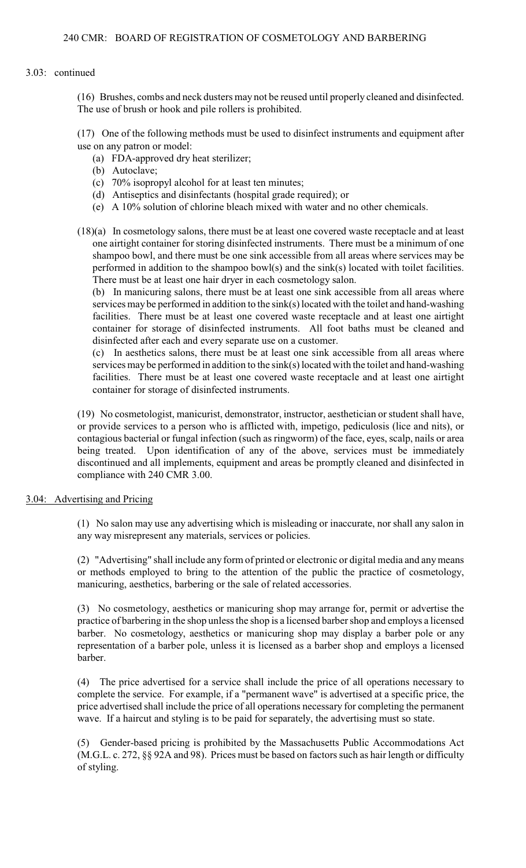### 3.03: continued

(16) Brushes, combs and neck dusters may not be reused until properly cleaned and disinfected. The use of brush or hook and pile rollers is prohibited.

(17) One of the following methods must be used to disinfect instruments and equipment after use on any patron or model:

(a) FDA-approved dry heat sterilizer;

- (b) Autoclave;
- (c) 70% isopropyl alcohol for at least ten minutes;
- (d) Antiseptics and disinfectants (hospital grade required); or
- (e) A 10% solution of chlorine bleach mixed with water and no other chemicals.
- (18)(a) In cosmetology salons, there must be at least one covered waste receptacle and at least one airtight container for storing disinfected instruments. There must be a minimum of one shampoo bowl, and there must be one sink accessible from all areas where services may be performed in addition to the shampoo bowl(s) and the sink(s) located with toilet facilities. There must be at least one hair dryer in each cosmetology salon.

(b) In manicuring salons, there must be at least one sink accessible from all areas where services may be performed in addition to the sink(s) located with the toilet and hand-washing facilities. There must be at least one covered waste receptacle and at least one airtight container for storage of disinfected instruments. All foot baths must be cleaned and disinfected after each and every separate use on a customer.

(c) In aesthetics salons, there must be at least one sink accessible from all areas where services may be performed in addition to the sink(s) located with the toilet and hand-washing facilities. There must be at least one covered waste receptacle and at least one airtight container for storage of disinfected instruments.

(19) No cosmetologist, manicurist, demonstrator, instructor, aesthetician or student shall have, or provide services to a person who is afflicted with, impetigo, pediculosis (lice and nits), or contagious bacterial or fungal infection (such as ringworm) of the face, eyes, scalp, nails or area being treated. Upon identification of any of the above, services must be immediately discontinued and all implements, equipment and areas be promptly cleaned and disinfected in compliance with 240 CMR 3.00.

#### 3.04: Advertising and Pricing

(1) No salon may use any advertising which is misleading or inaccurate, nor shall any salon in any way misrepresent any materials, services or policies.

(2) "Advertising" shall include any form of printed or electronic or digital media and any means or methods employed to bring to the attention of the public the practice of cosmetology, manicuring, aesthetics, barbering or the sale of related accessories.

(3) No cosmetology, aesthetics or manicuring shop may arrange for, permit or advertise the practice of barbering in the shop unless the shop is a licensed barber shop and employs a licensed barber. No cosmetology, aesthetics or manicuring shop may display a barber pole or any representation of a barber pole, unless it is licensed as a barber shop and employs a licensed barber.

(4) The price advertised for a service shall include the price of all operations necessary to complete the service. For example, if a "permanent wave" is advertised at a specific price, the price advertised shall include the price of all operations necessary for completing the permanent wave. If a haircut and styling is to be paid for separately, the advertising must so state.

(5) Gender-based pricing is prohibited by the Massachusetts Public Accommodations Act (M.G.L. c. 272, §§ 92A and 98). Prices must be based on factors such as hair length or difficulty of styling.